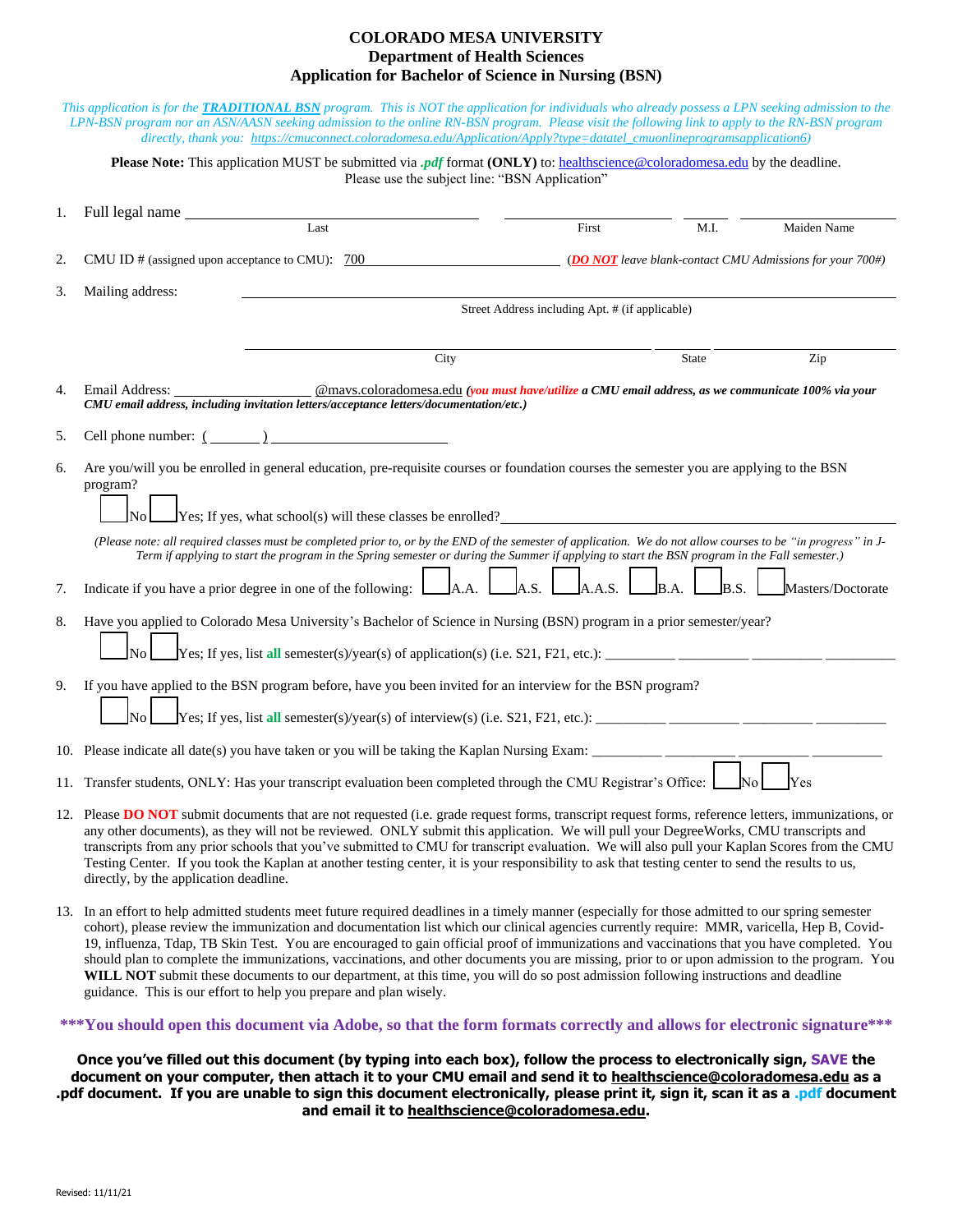## **COLORADO MESA UNIVERSITY Department of Health Sciences Application for Bachelor of Science in Nursing (BSN)**

|    | This application is for the <b>TRADITIONAL BSN</b> program. This is NOT the application for individuals who already possess a LPN seeking admission to the<br>LPN-BSN program nor an ASN/AASN seeking admission to the online RN-BSN program. Please visit the following link to apply to the RN-BSN program<br>directly, thank you: https://cmuconnect.coloradomesa.edu/Application/Apply?type=datatel_cmuonlineprogramsapplication6)                                                                                                                                                                                                     |                                                                                                    |       |              |                                                           |  |  |  |  |
|----|--------------------------------------------------------------------------------------------------------------------------------------------------------------------------------------------------------------------------------------------------------------------------------------------------------------------------------------------------------------------------------------------------------------------------------------------------------------------------------------------------------------------------------------------------------------------------------------------------------------------------------------------|----------------------------------------------------------------------------------------------------|-------|--------------|-----------------------------------------------------------|--|--|--|--|
|    | <b>Please Note:</b> This application MUST be submitted via $pdf$ format (ONLY) to: healthscience@coloradomesa.edu by the deadline.                                                                                                                                                                                                                                                                                                                                                                                                                                                                                                         | Please use the subject line: "BSN Application"                                                     |       |              |                                                           |  |  |  |  |
| 1. | Full legal name ______                                                                                                                                                                                                                                                                                                                                                                                                                                                                                                                                                                                                                     |                                                                                                    |       |              |                                                           |  |  |  |  |
|    | Last                                                                                                                                                                                                                                                                                                                                                                                                                                                                                                                                                                                                                                       |                                                                                                    | First | M.I.         | Maiden Name                                               |  |  |  |  |
| 2. | CMU ID # (assigned upon acceptance to CMU): 700                                                                                                                                                                                                                                                                                                                                                                                                                                                                                                                                                                                            |                                                                                                    |       |              | (DO NOT leave blank-contact CMU Admissions for your 700#) |  |  |  |  |
| 3. | Mailing address:<br>Street Address including Apt. # (if applicable)                                                                                                                                                                                                                                                                                                                                                                                                                                                                                                                                                                        |                                                                                                    |       |              |                                                           |  |  |  |  |
|    |                                                                                                                                                                                                                                                                                                                                                                                                                                                                                                                                                                                                                                            |                                                                                                    |       |              |                                                           |  |  |  |  |
|    |                                                                                                                                                                                                                                                                                                                                                                                                                                                                                                                                                                                                                                            | City                                                                                               |       | <b>State</b> | Zip                                                       |  |  |  |  |
| 4. | Email Address:<br>CMU email address, including invitation letters/acceptance letters/documentation/etc.)                                                                                                                                                                                                                                                                                                                                                                                                                                                                                                                                   | @mays.coloradomesa.edu (you must have/utilize a CMU email address, as we communicate 100% via your |       |              |                                                           |  |  |  |  |
| 5. | Cell phone number: $(\_\_)$                                                                                                                                                                                                                                                                                                                                                                                                                                                                                                                                                                                                                |                                                                                                    |       |              |                                                           |  |  |  |  |
| 6. | Are you/will you be enrolled in general education, pre-requisite courses or foundation courses the semester you are applying to the BSN<br>program?<br>$\gamma$ Yes; If yes, what school(s) will these classes be enrolled?                                                                                                                                                                                                                                                                                                                                                                                                                |                                                                                                    |       |              |                                                           |  |  |  |  |
|    | (Please note: all required classes must be completed prior to, or by the END of the semester of application. We do not allow courses to be "in progress" in J-<br>Term if applying to start the program in the Spring semester or during the Summer if applying to start the BSN program in the Fall semester.)                                                                                                                                                                                                                                                                                                                            |                                                                                                    |       |              |                                                           |  |  |  |  |
| 7. | A.S.<br>Indicate if you have a prior degree in one of the following:<br>A.A.<br>A.A.S.<br>B.S.<br>Masters/Doctorate                                                                                                                                                                                                                                                                                                                                                                                                                                                                                                                        |                                                                                                    |       |              |                                                           |  |  |  |  |
| 8. | Have you applied to Colorado Mesa University's Bachelor of Science in Nursing (BSN) program in a prior semester/year?<br>$\overline{N_0}$                                                                                                                                                                                                                                                                                                                                                                                                                                                                                                  |                                                                                                    |       |              |                                                           |  |  |  |  |
| 9. | If you have applied to the BSN program before, have you been invited for an interview for the BSN program?                                                                                                                                                                                                                                                                                                                                                                                                                                                                                                                                 |                                                                                                    |       |              |                                                           |  |  |  |  |
|    | No                                                                                                                                                                                                                                                                                                                                                                                                                                                                                                                                                                                                                                         |                                                                                                    |       |              |                                                           |  |  |  |  |
|    | 10. Please indicate all date(s) you have taken or you will be taking the Kaplan Nursing Exam: ____________                                                                                                                                                                                                                                                                                                                                                                                                                                                                                                                                 |                                                                                                    |       |              |                                                           |  |  |  |  |
|    | Yes<br>11. Transfer students, ONLY: Has your transcript evaluation been completed through the CMU Registrar's Office:                                                                                                                                                                                                                                                                                                                                                                                                                                                                                                                      |                                                                                                    |       |              |                                                           |  |  |  |  |
|    | 12. Please DO NOT submit documents that are not requested (i.e. grade request forms, transcript request forms, reference letters, immunizations, or<br>any other documents), as they will not be reviewed. ONLY submit this application. We will pull your DegreeWorks, CMU transcripts and<br>transcripts from any prior schools that you've submitted to CMU for transcript evaluation. We will also pull your Kaplan Scores from the CMU<br>Testing Center. If you took the Kaplan at another testing center, it is your responsibility to ask that testing center to send the results to us,<br>directly, by the application deadline. |                                                                                                    |       |              |                                                           |  |  |  |  |

13. In an effort to help admitted students meet future required deadlines in a timely manner (especially for those admitted to our spring semester cohort), please review the immunization and documentation list which our clinical agencies currently require: MMR, varicella, Hep B, Covid-19, influenza, Tdap, TB Skin Test. You are encouraged to gain official proof of immunizations and vaccinations that you have completed. You should plan to complete the immunizations, vaccinations, and other documents you are missing, prior to or upon admission to the program. You WILL NOT submit these documents to our department, at this time, you will do so post admission following instructions and deadline guidance. This is our effort to help you prepare and plan wisely.

## **\*\*\*You should open this document via Adobe, so that the form formats correctly and allows for electronic signature\*\*\***

**Once you've filled out this document (by typing into each box), follow the process to electronically sign, SAVE the document on your computer, then attach it to your CMU email and send it to [healthscience@coloradomesa.edu](mailto:healthscience@coloradomesa.edu) as a .pdf document. If you are unable to sign this document electronically, please print it, sign it, scan it as a .pdf document and email it to [healthscience@coloradomesa.edu.](mailto:healthscience@coloradomesa.edu)**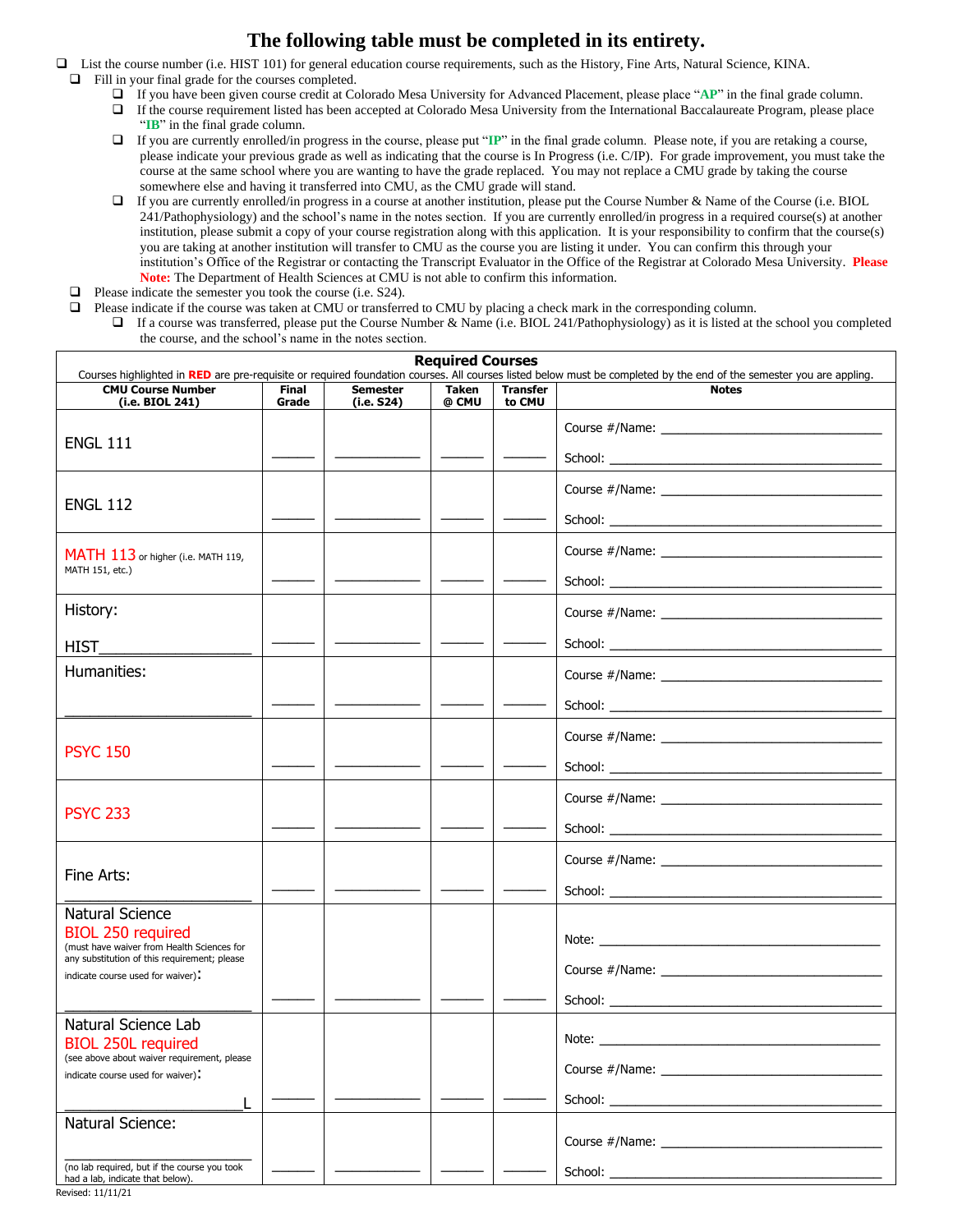## **The following table must be completed in its entirety.**

- ❑ List the course number (i.e. HIST 101) for general education course requirements, such as the History, Fine Arts, Natural Science, KINA. ❑ Fill in your final grade for the courses completed.
	- ❑ If you have been given course credit at Colorado Mesa University for Advanced Placement, please place "**AP**" in the final grade column.
	- ❑ If the course requirement listed has been accepted at Colorado Mesa University from the International Baccalaureate Program, please place "**IB**" in the final grade column.
	- ❑ If you are currently enrolled/in progress in the course, please put "**IP**" in the final grade column. Please note, if you are retaking a course, please indicate your previous grade as well as indicating that the course is In Progress (i.e. C/IP). For grade improvement, you must take the course at the same school where you are wanting to have the grade replaced. You may not replace a CMU grade by taking the course somewhere else and having it transferred into CMU, as the CMU grade will stand.
	- ❑ If you are currently enrolled/in progress in a course at another institution, please put the Course Number & Name of the Course (i.e. BIOL 241/Pathophysiology) and the school's name in the notes section. If you are currently enrolled/in progress in a required course(s) at another institution, please submit a copy of your course registration along with this application. It is your responsibility to confirm that the course(s) you are taking at another institution will transfer to CMU as the course you are listing it under. You can confirm this through your institution's Office of the Registrar or contacting the Transcript Evaluator in the Office of the Registrar at Colorado Mesa University. **Please Note:** The Department of Health Sciences at CMU is not able to confirm this information.
	- ❑ Please indicate the semester you took the course (i.e. S24).
	- ❑ Please indicate if the course was taken at CMU or transferred to CMU by placing a check mark in the corresponding column.
		- ❑ If a course was transferred, please put the Course Number & Name (i.e. BIOL 241/Pathophysiology) as it is listed at the school you completed the course, and the school's name in the notes section.

| <b>Required Courses</b><br>Courses highlighted in RED are pre-requisite or required foundation courses. All courses listed below must be completed by the end of the semester you are appling. |                       |                               |                       |                           |                                                                                                                                                                                                                                |  |  |
|------------------------------------------------------------------------------------------------------------------------------------------------------------------------------------------------|-----------------------|-------------------------------|-----------------------|---------------------------|--------------------------------------------------------------------------------------------------------------------------------------------------------------------------------------------------------------------------------|--|--|
| <b>CMU Course Number</b><br>(i.e. BIOL 241)                                                                                                                                                    | <b>Final</b><br>Grade | <b>Semester</b><br>(i.e. S24) | <b>Taken</b><br>@ CMU | <b>Transfer</b><br>to CMU | <b>Notes</b>                                                                                                                                                                                                                   |  |  |
|                                                                                                                                                                                                |                       |                               |                       |                           |                                                                                                                                                                                                                                |  |  |
| <b>ENGL 111</b>                                                                                                                                                                                |                       |                               |                       |                           |                                                                                                                                                                                                                                |  |  |
| <b>ENGL 112</b>                                                                                                                                                                                |                       |                               |                       |                           |                                                                                                                                                                                                                                |  |  |
|                                                                                                                                                                                                |                       |                               |                       |                           |                                                                                                                                                                                                                                |  |  |
| MATH 113 or higher (i.e. MATH 119,                                                                                                                                                             |                       |                               |                       |                           |                                                                                                                                                                                                                                |  |  |
| MATH 151, etc.)                                                                                                                                                                                |                       |                               |                       |                           |                                                                                                                                                                                                                                |  |  |
| History:                                                                                                                                                                                       |                       |                               |                       |                           |                                                                                                                                                                                                                                |  |  |
| <b>HIST</b>                                                                                                                                                                                    |                       |                               |                       |                           |                                                                                                                                                                                                                                |  |  |
| Humanities:                                                                                                                                                                                    |                       |                               |                       |                           |                                                                                                                                                                                                                                |  |  |
|                                                                                                                                                                                                |                       |                               |                       |                           |                                                                                                                                                                                                                                |  |  |
| <b>PSYC 150</b>                                                                                                                                                                                |                       |                               |                       |                           |                                                                                                                                                                                                                                |  |  |
|                                                                                                                                                                                                |                       |                               |                       |                           |                                                                                                                                                                                                                                |  |  |
| <b>PSYC 233</b>                                                                                                                                                                                |                       |                               |                       |                           |                                                                                                                                                                                                                                |  |  |
|                                                                                                                                                                                                |                       |                               |                       |                           |                                                                                                                                                                                                                                |  |  |
| Fine Arts:                                                                                                                                                                                     |                       |                               |                       |                           |                                                                                                                                                                                                                                |  |  |
|                                                                                                                                                                                                |                       |                               |                       |                           |                                                                                                                                                                                                                                |  |  |
| Natural Science<br><b>BIOL 250 required</b>                                                                                                                                                    |                       |                               |                       |                           |                                                                                                                                                                                                                                |  |  |
| (must have waiver from Health Sciences for<br>any substitution of this requirement; please                                                                                                     |                       |                               |                       |                           |                                                                                                                                                                                                                                |  |  |
| indicate course used for waiver).                                                                                                                                                              |                       |                               |                       |                           |                                                                                                                                                                                                                                |  |  |
| Natural Science Lab                                                                                                                                                                            |                       |                               |                       |                           |                                                                                                                                                                                                                                |  |  |
| <b>BIOL 250L required</b><br>(see above about waiver requirement, please                                                                                                                       |                       |                               |                       |                           |                                                                                                                                                                                                                                |  |  |
| indicate course used for waiver).                                                                                                                                                              |                       |                               |                       |                           |                                                                                                                                                                                                                                |  |  |
| Natural Science:                                                                                                                                                                               |                       |                               |                       |                           | School: The contract of the contract of the contract of the contract of the contract of the contract of the contract of the contract of the contract of the contract of the contract of the contract of the contract of the co |  |  |
|                                                                                                                                                                                                |                       |                               |                       |                           | Course #/Name:                                                                                                                                                                                                                 |  |  |
| (no lab required, but if the course you took<br>had a lab, indicate that below).                                                                                                               |                       |                               |                       |                           |                                                                                                                                                                                                                                |  |  |

Revised: 11/11/21